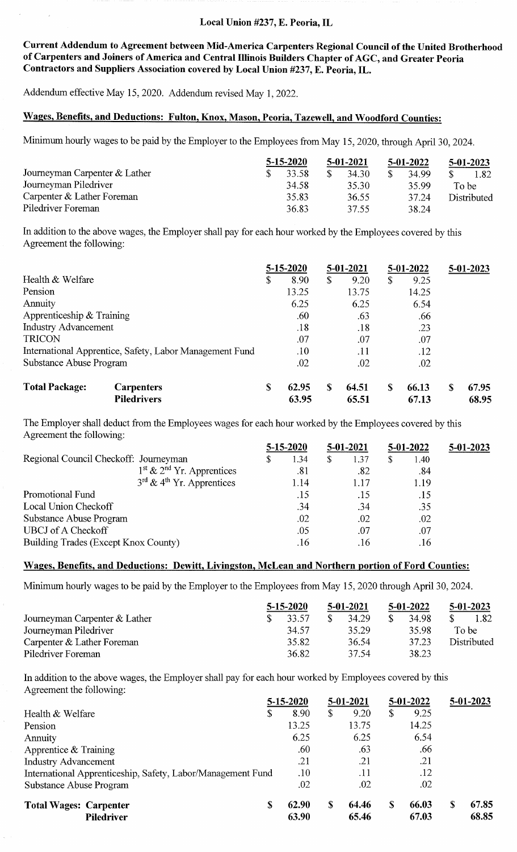#### Local Union #237, E. Peoria, IL

Current Addendum to Agreement between Mid-America Carpenters Regional Council of the United Brotherhood of Carpenters and Joiners of America and Central Illinois Builders Chapter of AGC, and Greater Peoria Contractors and Suppliers Association covered by Local Union #237, E. Peoria, IL.

Addendum effective May 15, 2020. Addendum revised May l, 2022.

### Wages, Benefits, and Deductions: Fulton, Knox, Mason, Peoria, Tazewell, and Woodford Counties:

Minimum hourly wages to be paid by the Employer to the Employees from May 15, 2020, through April 30, 2024.

|                               | $5 - 15 - 2020$ | 5-01-2021 | 5-01-2022 | $5-01-2023$ |  |             |
|-------------------------------|-----------------|-----------|-----------|-------------|--|-------------|
| Journeyman Carpenter & Lather |                 | 33.58     | 34.30     | 34.99       |  | 1.82.       |
| Journeyman Piledriver         |                 | 34.58     | 35.30     | 35.99       |  | To be       |
| Carpenter & Lather Foreman    |                 | 35.83     | 36.55     | 37.24       |  | Distributed |
| Piledriver Foreman            |                 | 36.83     | 37.55     | 38.24       |  |             |

In addition to the above wages, the Employer shall pay for each hour worked by the Employees covered by this Agreement the following:

|                                                         |   | $5 - 15 - 2020$ |    | 5-01-2021 |    | 5-01-2022 |   | $5 - 01 - 2023$ |
|---------------------------------------------------------|---|-----------------|----|-----------|----|-----------|---|-----------------|
| Health & Welfare                                        | S | 8.90            | \$ | 9.20      | \$ | 9.25      |   |                 |
| Pension                                                 |   | 13.25           |    | 13.75     |    | 14.25     |   |                 |
| <b>Annuity</b>                                          |   | 6.25            |    | 6.25      |    | 6.54      |   |                 |
| Apprenticeship $&$ Training                             |   | .60             |    | .63       |    | .66       |   |                 |
| <b>Industry Advancement</b>                             |   | .18             |    | .18       |    | .23       |   |                 |
| <b>TRICON</b>                                           |   | .07             |    | .07       |    | .07       |   |                 |
| International Apprentice, Safety, Labor Management Fund |   | .10             |    | .11       |    | .12       |   |                 |
| Substance Abuse Program                                 |   | .02             |    | .02       |    | .02       |   |                 |
| <b>Total Package:</b><br><b>Carpenters</b>              | S | 62.95           | S  | 64.51     | S  | 66.13     | S | 67.95           |
| <b>Piledrivers</b>                                      |   | 63.95           |    | 65.51     |    | 67.13     |   | 68.95           |

The Employer shall deduct from the Employees wages for each hour worked by the Employees covered by this Agreement the following:

|                                                   |    | $5 - 15 - 2020$ |   | 5-01-2021 | $5-01-2022$ |      | $5 - 01 - 2023$ |  |
|---------------------------------------------------|----|-----------------|---|-----------|-------------|------|-----------------|--|
| Regional Council Checkoff: Journeyman             | \$ | 1.34            | S | 1.37      | \$          | 1.40 |                 |  |
| $1^{\text{st}}$ & $2^{\text{nd}}$ Yr. Apprentices |    | .81             |   | .82       |             | .84  |                 |  |
| $3^{rd}$ & 4 <sup>th</sup> Yr. Apprentices        |    | 1.14            |   | 1.17      |             | 1.19 |                 |  |
| Promotional Fund                                  |    | .15             |   | .15       |             | .15  |                 |  |
| Local Union Checkoff                              |    | .34             |   | .34       |             | .35  |                 |  |
| <b>Substance Abuse Program</b>                    |    | .02             |   | .02       |             | .02  |                 |  |
| <b>UBCJ</b> of A Checkoff                         |    | .05             |   | .07       |             | .07  |                 |  |
| Building Trades (Except Knox County)              |    | .16             |   | .16       |             | .16  |                 |  |

### Wages, Benefits, and Deductions: Dewitt, Livingston, McLean and Northern portion of Ford Counties:

Minimum hourly wages to be paid by the Employer to the Employees from May 15, 2020 through April 30, 2024.

|                               | $5 - 15 - 2020$ | $5 - 01 - 2021$ | $5-01-2022$ | $5-01-2023$ |  |             |  |
|-------------------------------|-----------------|-----------------|-------------|-------------|--|-------------|--|
| Journeyman Carpenter & Lather |                 | 33.57           | 34.29       | 34.98       |  | 1.82        |  |
| Journeyman Piledriver         |                 | 34.57           | 35.29       | 35.98       |  | To be       |  |
| Carpenter $&$ Lather Foreman  |                 | 35.82           | 36.54       | 37.23       |  | Distributed |  |
| Piledriver Foreman            |                 | 36.82           | 37.54       | 38.23       |  |             |  |

In addition to the above wages, the Employer shall pay for each hour worked by Employees covered by this Agreement the following:

|                                                             | 5-15-2020 |         |    | 5-01-2021 |   | $5 - 01 - 2022$ |   | $5-01-2023$ |
|-------------------------------------------------------------|-----------|---------|----|-----------|---|-----------------|---|-------------|
| Health & Welfare                                            | S         | 8.90    | \$ | 9.20      | S | 9.25            |   |             |
| Pension                                                     |           | 13.25   |    | 13.75     |   | 14.25           |   |             |
| <b>Annuity</b>                                              |           | 6.25    |    | 6.25      |   | 6.54            |   |             |
| Apprentice $&$ Training                                     |           | .60     |    | .63       |   | .66             |   |             |
| <b>Industry Advancement</b>                                 |           | .21     |    | .21       |   | .21             |   |             |
| International Apprenticeship, Safety, Labor/Management Fund |           | $.10\,$ |    | .11       |   | .12             |   |             |
| Substance Abuse Program                                     |           | .02     |    | .02       |   | .02             |   |             |
| <b>Total Wages: Carpenter</b>                               | \$        | 62.90   | S  | 64.46     | S | 66.03           | S | 67.85       |
| <b>Piledriver</b>                                           |           | 63.90   |    | 65.46     |   | 67.03           |   | 68.85       |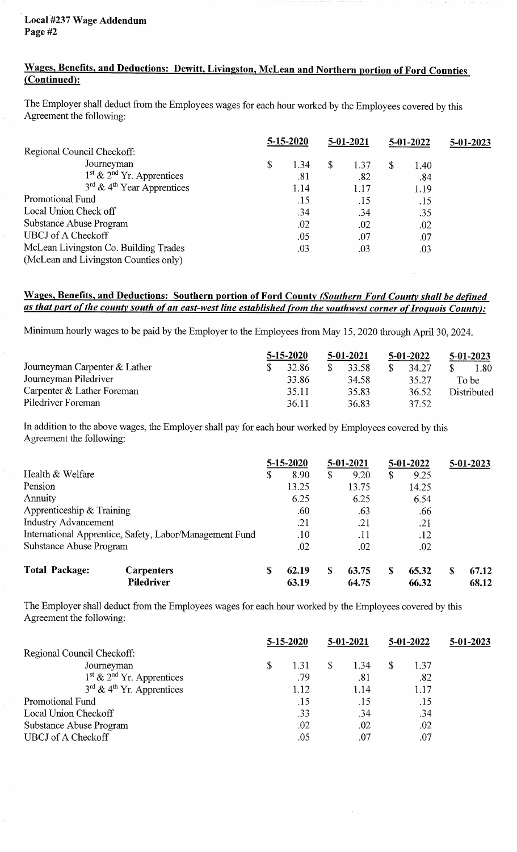# Wages, Benefits, and Deductions: Dewitt, Livingston, McLean and Northern portion of Ford Counties (Continued):

The Employer shall deduct from the Employees wages for each hour worked by the Employees covered by this Agreement the following:

| 5-15-2020                                         |    |      | 5-01-2021    |      | 5-01-2022 |      | $5-01-2023$ |  |
|---------------------------------------------------|----|------|--------------|------|-----------|------|-------------|--|
| Regional Council Checkoff:                        |    |      |              |      |           |      |             |  |
| Journeyman                                        | \$ | 1.34 | $\mathbb{S}$ | 1.37 | S         | 1.40 |             |  |
| $1st$ & $2nd$ Yr. Apprentices                     |    | .81  |              | .82  |           | .84  |             |  |
| $3^{\text{rd}} \& 4^{\text{th}}$ Year Apprentices |    | 1.14 |              | 1.17 |           | 1.19 |             |  |
| Promotional Fund                                  |    | .15  |              | .15  |           | .15  |             |  |
| Local Union Check off                             |    | .34  |              | .34  |           | .35  |             |  |
| Substance Abuse Program                           |    | .02  |              | .02  |           | .02  |             |  |
| <b>UBCJ</b> of A Checkoff                         |    | .05  |              | .07  |           | .07  |             |  |
| McLean Livingston Co. Building Trades             |    | .03  |              | .03  |           | .03  |             |  |
| (McLean and Livingston Counties only)             |    |      |              |      |           |      |             |  |

## Wages, Benefits, and Deductions: Southern portion of Ford County (Southern Ford County shall be defined as that part of the county south of an east-west line established from the southwest corner of Iroquois County):

Minimum hourly wages to be paid by the Employer to the Employees from May 15, 2020 through April 30, 2024.

|                                 | $5 - 15 - 2020$ |       | $5 - 01 - 2021$ | $5 - 01 - 2022$ | $5-01-2023$ |  |             |  |
|---------------------------------|-----------------|-------|-----------------|-----------------|-------------|--|-------------|--|
| Journeyman Carpenter $&$ Lather |                 | 32.86 | -S              | 33.58           | 34.27       |  | 1.80        |  |
| Journeyman Piledriver           |                 | 33.86 |                 | 34.58           | 35.27       |  | To be-      |  |
| Carpenter & Lather Foreman      |                 | 35.11 |                 | 35.83           | 36.52       |  | Distributed |  |
| Piledriver Foreman              |                 | 36.11 |                 | 36.83           | 37.52       |  |             |  |

In addition to the above wages, the Employer shall pay for each hour worked by Employees covered by this Agreement the following:

|                             |                                                         | 5-15-2020  |    | 5-01-2021 |    | $5-01-2022$ |   | $5 - 01 - 2023$ |
|-----------------------------|---------------------------------------------------------|------------|----|-----------|----|-------------|---|-----------------|
| Health & Welfare            |                                                         | \$<br>8.90 | \$ | 9.20      | \$ | 9.25        |   |                 |
| Pension                     |                                                         | 13.25      |    | 13.75     |    | 14.25       |   |                 |
| Annuity                     |                                                         | 6.25       |    | 6.25      |    | 6.54        |   |                 |
| Apprenticeship $&$ Training |                                                         | .60        |    | .63       |    | .66         |   |                 |
| <b>Industry Advancement</b> |                                                         | .21        |    | .21       |    | .21         |   |                 |
|                             | International Apprentice, Safety, Labor/Management Fund | .10        |    | .11       |    | .12         |   |                 |
| Substance Abuse Program     |                                                         | .02        |    | .02       |    | .02         |   |                 |
| <b>Total Package:</b>       | <b>Carpenters</b>                                       | 62.19      | S  | 63.75     | S  | 65.32       | S | 67.12           |
|                             | <b>Piledriver</b>                                       | 63.19      |    | 64.75     |    | 66.32       |   | 68.12           |

The Employer shall deduct from the Employees wages for each hour worked by the Employees covered by this Agreement the following:

|                                            | $5 - 15 - 2020$ |      |    | 5-01-2021 |  | $5 - 01 - 2022$ | 5-01-2023 |  |
|--------------------------------------------|-----------------|------|----|-----------|--|-----------------|-----------|--|
| Regional Council Checkoff:                 |                 |      |    |           |  |                 |           |  |
| Journeyman                                 | \$              | 1.31 | \$ | 1.34      |  | 1.37            |           |  |
| $1st$ & $2nd$ Yr. Apprentices              |                 | .79  |    | .81       |  | .82             |           |  |
| $3^{rd}$ & 4 <sup>th</sup> Yr. Apprentices |                 | 1.12 |    | 1.14      |  | 1.17            |           |  |
| <b>Promotional Fund</b>                    |                 | .15  |    | .15       |  | .15             |           |  |
| Local Union Checkoff                       |                 | .33  |    | .34       |  | .34             |           |  |
| Substance Abuse Program                    |                 | .02  |    | .02       |  | .02             |           |  |
| <b>UBCJ</b> of A Checkoff                  |                 | .05  |    | .07       |  | .07             |           |  |